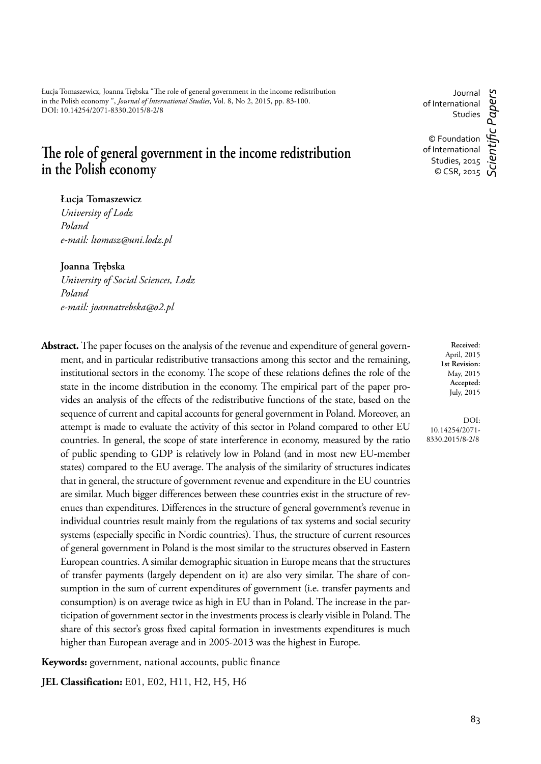Łucja Tomaszewicz, Joanna Trębska "The role of general government in the income redistribution in the Polish economy ", *Journal of International Studies*, Vol. 8, No 2, 2015, pp. 83-100. DOI: 10.14254/2071-8330.2015/8-2/8

# The role of general government in the income redistribution **in the Polish economy**

**Łucja Tomaszewicz**

*University of Lodz Poland e-mail: ltomasz@uni.lodz.pl*

**Joanna Trębska**

*University of Social Sciences, Lodz Poland e-mail: joannatrebska@o2.pl*

**Abstract.** The paper focuses on the analysis of the revenue and expenditure of general government, and in particular redistributive transactions among this sector and the remaining, institutional sectors in the economy. The scope of these relations defines the role of the state in the income distribution in the economy. The empirical part of the paper provides an analysis of the effects of the redistributive functions of the state, based on the sequence of current and capital accounts for general government in Poland. Moreover, an attempt is made to evaluate the activity of this sector in Poland compared to other EU countries. In general, the scope of state interference in economy, measured by the ratio of public spending to GDP is relatively low in Poland (and in most new EU-member states) compared to the EU average. The analysis of the similarity of structures indicates that in general, the structure of government revenue and expenditure in the EU countries are similar. Much bigger differences between these countries exist in the structure of revenues than expenditures. Differences in the structure of general government's revenue in individual countries result mainly from the regulations of tax systems and social security systems (especially specific in Nordic countries). Thus, the structure of current resources of general government in Poland is the most similar to the structures observed in Eastern European countries. A similar demographic situation in Europe means that the structures of transfer payments (largely dependent on it) are also very similar. The share of consumption in the sum of current expenditures of government (i.e. transfer payments and consumption) is on average twice as high in EU than in Poland. The increase in the participation of government sector in the investments process is clearly visible in Poland. The share of this sector's gross fixed capital formation in investments expenditures is much higher than European average and in 2005-2013 was the highest in Europe.

**Keywords:** government, national accounts, public finance

**JEL Classification:** E01, E02, H11, H2, H5, H6

Journal c Papers *Scientifi c Papers* of International Studies © Foundation

of International Studies, 2015 © CSR, 2015

> **Received**: April, 2015 **1st Revision:** May, 2015 **Accepted:** July, 2015

DOI: 10.14254/2071- 8330.2015/8-2/8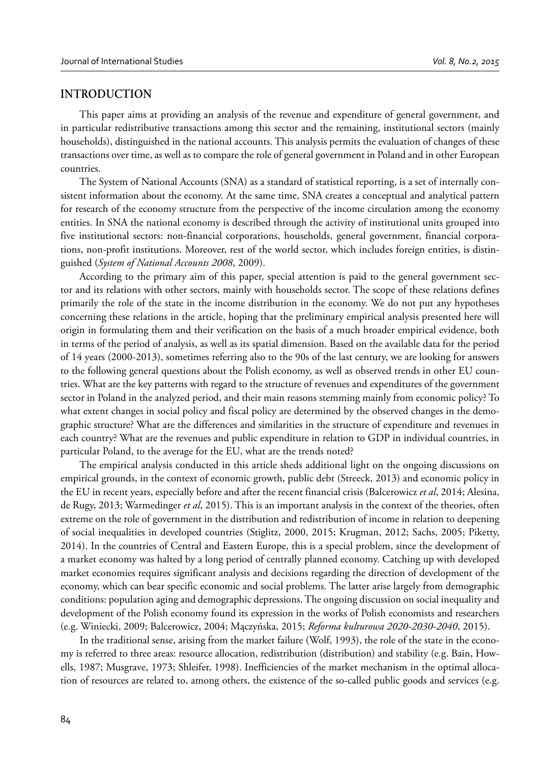### **INTRODUCTION**

This paper aims at providing an analysis of the revenue and expenditure of general government, and in particular redistributive transactions among this sector and the remaining, institutional sectors (mainly households), distinguished in the national accounts. This analysis permits the evaluation of changes of these transactions over time, as well as to compare the role of general government in Poland and in other European countries.

The System of National Accounts (SNA) as a standard of statistical reporting, is a set of internally consistent information about the economy. At the same time, SNA creates a conceptual and analytical pattern for research of the economy structure from the perspective of the income circulation among the economy entities. In SNA the national economy is described through the activity of institutional units grouped into five institutional sectors: non-financial corporations, households, general government, financial corporations, non-profit institutions. Moreover, rest of the world sector, which includes foreign entities, is distinguished (*System of National Accounts 2008*, 2009).

According to the primary aim of this paper, special attention is paid to the general government sector and its relations with other sectors, mainly with households sector. The scope of these relations defines primarily the role of the state in the income distribution in the economy. We do not put any hypotheses concerning these relations in the article, hoping that the preliminary empirical analysis presented here will origin in formulating them and their verification on the basis of a much broader empirical evidence, both in terms of the period of analysis, as well as its spatial dimension. Based on the available data for the period of 14 years (2000-2013), sometimes referring also to the 90s of the last century, we are looking for answers to the following general questions about the Polish economy, as well as observed trends in other EU countries. What are the key patterns with regard to the structure of revenues and expenditures of the government sector in Poland in the analyzed period, and their main reasons stemming mainly from economic policy? To what extent changes in social policy and fiscal policy are determined by the observed changes in the demographic structure? What are the differences and similarities in the structure of expenditure and revenues in each country? What are the revenues and public expenditure in relation to GDP in individual countries, in particular Poland, to the average for the EU, what are the trends noted?

The empirical analysis conducted in this article sheds additional light on the ongoing discussions on empirical grounds, in the context of economic growth, public debt (Streeck, 2013) and economic policy in the EU in recent years, especially before and after the recent financial crisis (Balcerowicz *et al*, 2014; Alesina, de Rugy, 2013; Warmedinger *et al*, 2015). This is an important analysis in the context of the theories, often extreme on the role of government in the distribution and redistribution of income in relation to deepening of social inequalities in developed countries (Stiglitz, 2000, 2015; Krugman, 2012; Sachs, 2005; Piketty, 2014). In the countries of Central and Eastern Europe, this is a special problem, since the development of a market economy was halted by a long period of centrally planned economy. Catching up with developed market economies requires significant analysis and decisions regarding the direction of development of the economy, which can bear specific economic and social problems. The latter arise largely from demographic conditions: population aging and demographic depressions. The ongoing discussion on social inequality and development of the Polish economy found its expression in the works of Polish economists and researchers (e.g. Winiecki, 2009; Balcerowicz, 2004; Mączyńska, 2015; *Reforma kulturowa 2020-2030-2040*, 2015).

In the traditional sense, arising from the market failure (Wolf, 1993), the role of the state in the economy is referred to three areas: resource allocation, redistribution (distribution) and stability (e.g. Bain, Howells, 1987; Musgrave, 1973; Shleifer, 1998). Inefficiencies of the market mechanism in the optimal allocation of resources are related to, among others, the existence of the so-called public goods and services (e.g.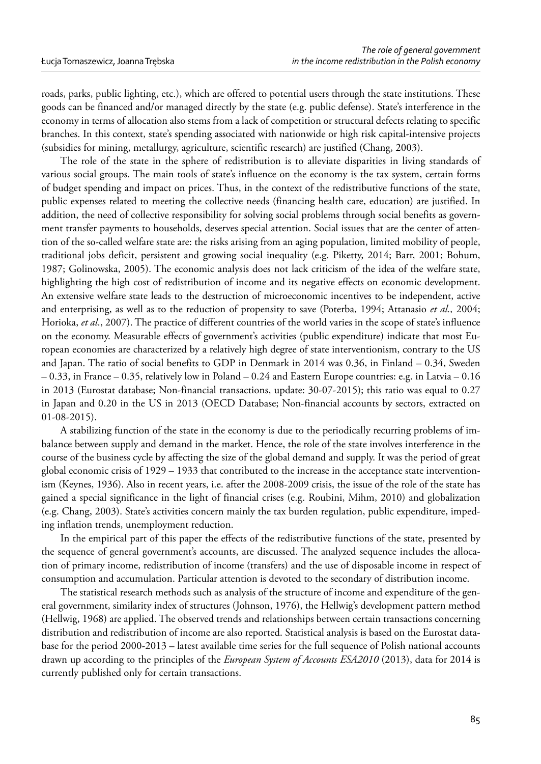roads, parks, public lighting, etc.), which are offered to potential users through the state institutions. These goods can be financed and/or managed directly by the state (e.g. public defense). State's interference in the economy in terms of allocation also stems from a lack of competition or structural defects relating to specific branches. In this context, state's spending associated with nationwide or high risk capital-intensive projects (subsidies for mining, metallurgy, agriculture, scientific research) are justified (Chang, 2003).

The role of the state in the sphere of redistribution is to alleviate disparities in living standards of various social groups. The main tools of state's influence on the economy is the tax system, certain forms of budget spending and impact on prices. Thus, in the context of the redistributive functions of the state, public expenses related to meeting the collective needs (financing health care, education) are justified. In addition, the need of collective responsibility for solving social problems through social benefits as government transfer payments to households, deserves special attention. Social issues that are the center of attention of the so-called welfare state are: the risks arising from an aging population, limited mobility of people, traditional jobs deficit, persistent and growing social inequality (e.g. Piketty, 2014; Barr, 2001; Bohum, 1987; Golinowska, 2005). The economic analysis does not lack criticism of the idea of the welfare state, highlighting the high cost of redistribution of income and its negative effects on economic development. An extensive welfare state leads to the destruction of microeconomic incentives to be independent, active and enterprising, as well as to the reduction of propensity to save (Poterba, 1994; Attanasio *et al.,* 2004; Horioka, *et al*., 2007). The practice of different countries of the world varies in the scope of state's influence on the economy. Measurable effects of government's activities (public expenditure) indicate that most European economies are characterized by a relatively high degree of state interventionism, contrary to the US and Japan. The ratio of social benefits to GDP in Denmark in 2014 was 0.36, in Finland – 0.34, Sweden – 0.33, in France – 0.35, relatively low in Poland – 0.24 and Eastern Europe countries: e.g. in Latvia – 0.16 in 2013 (Eurostat database; Non-financial transactions, update: 30-07-2015); this ratio was equal to 0.27 in Japan and 0.20 in the US in 2013 (OECD Database; Non-financial accounts by sectors, extracted on 01-08-2015).

A stabilizing function of the state in the economy is due to the periodically recurring problems of imbalance between supply and demand in the market. Hence, the role of the state involves interference in the course of the business cycle by affecting the size of the global demand and supply. It was the period of great global economic crisis of 1929 – 1933 that contributed to the increase in the acceptance state interventionism (Keynes, 1936). Also in recent years, i.e. after the 2008-2009 crisis, the issue of the role of the state has gained a special significance in the light of financial crises (e.g. Roubini, Mihm, 2010) and globalization (e.g. Chang, 2003). State's activities concern mainly the tax burden regulation, public expenditure, impeding inflation trends, unemployment reduction.

In the empirical part of this paper the effects of the redistributive functions of the state, presented by the sequence of general government's accounts, are discussed. The analyzed sequence includes the allocation of primary income, redistribution of income (transfers) and the use of disposable income in respect of consumption and accumulation. Particular attention is devoted to the secondary of distribution income.

The statistical research methods such as analysis of the structure of income and expenditure of the general government, similarity index of structures (Johnson, 1976), the Hellwig's development pattern method (Hellwig, 1968) are applied. The observed trends and relationships between certain transactions concerning distribution and redistribution of income are also reported. Statistical analysis is based on the Eurostat database for the period 2000-2013 – latest available time series for the full sequence of Polish national accounts drawn up according to the principles of the *European System of Accounts ESA2010* (2013), data for 2014 is currently published only for certain transactions.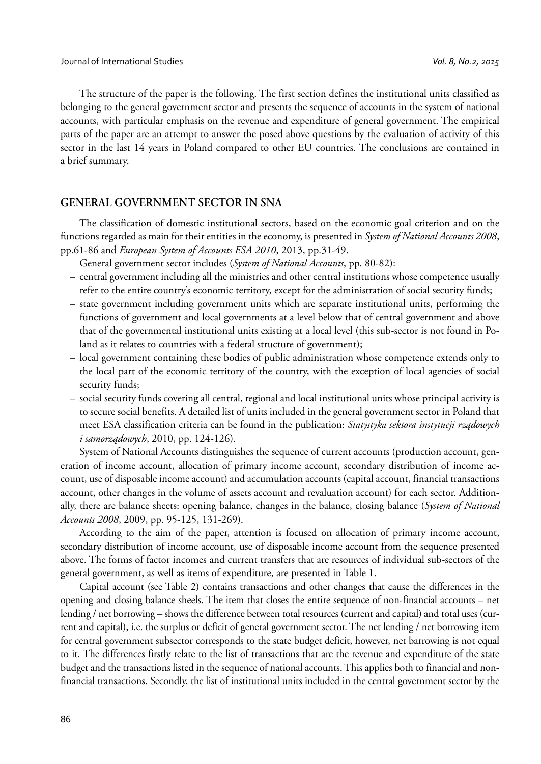The structure of the paper is the following. The first section defines the institutional units classified as belonging to the general government sector and presents the sequence of accounts in the system of national accounts, with particular emphasis on the revenue and expenditure of general government. The empirical parts of the paper are an attempt to answer the posed above questions by the evaluation of activity of this sector in the last 14 years in Poland compared to other EU countries. The conclusions are contained in a brief summary.

# **GENERAL GOVERNMENT SECTOR IN SNA**

The classification of domestic institutional sectors, based on the economic goal criterion and on the functions regarded as main for their entities in the economy, is presented in *System of National Accounts 2008*, pp.61-86 and *European System of Accounts ESA 2010*, 2013, pp.31-49.

General government sector includes (*System of National Accounts*, pp. 80-82):

- central government including all the ministries and other central institutions whose competence usually refer to the entire country's economic territory, except for the administration of social security funds;
- state government including government units which are separate institutional units, performing the functions of government and local governments at a level below that of central government and above that of the governmental institutional units existing at a local level (this sub-sector is not found in Poland as it relates to countries with a federal structure of government);
- local government containing these bodies of public administration whose competence extends only to the local part of the economic territory of the country, with the exception of local agencies of social security funds;
- social security funds covering all central, regional and local institutional units whose principal activity is to secure social benefits. A detailed list of units included in the general government sector in Poland that meet ESA classification criteria can be found in the publication: *Statystyka sektora instytucji rządowych i samorządowych*, 2010, pp. 124-126).

System of National Accounts distinguishes the sequence of current accounts (production account, generation of income account, allocation of primary income account, secondary distribution of income account, use of disposable income account) and accumulation accounts (capital account, financial transactions account, other changes in the volume of assets account and revaluation account) for each sector. Additionally, there are balance sheets: opening balance, changes in the balance, closing balance (*System of National Accounts 2008*, 2009, pp. 95-125, 131-269).

According to the aim of the paper, attention is focused on allocation of primary income account, secondary distribution of income account, use of disposable income account from the sequence presented above. The forms of factor incomes and current transfers that are resources of individual sub-sectors of the general government, as well as items of expenditure, are presented in Table 1.

Capital account (see Table 2) contains transactions and other changes that cause the differences in the opening and closing balance sheels. The item that closes the entire sequence of non-financial accounts – net lending / net borrowing – shows the difference between total resources (current and capital) and total uses (current and capital), i.e. the surplus or deficit of general government sector. The net lending / net borrowing item for central government subsector corresponds to the state budget deficit, however, net barrowing is not equal to it. The differences firstly relate to the list of transactions that are the revenue and expenditure of the state budget and the transactions listed in the sequence of national accounts. This applies both to financial and nonfinancial transactions. Secondly, the list of institutional units included in the central government sector by the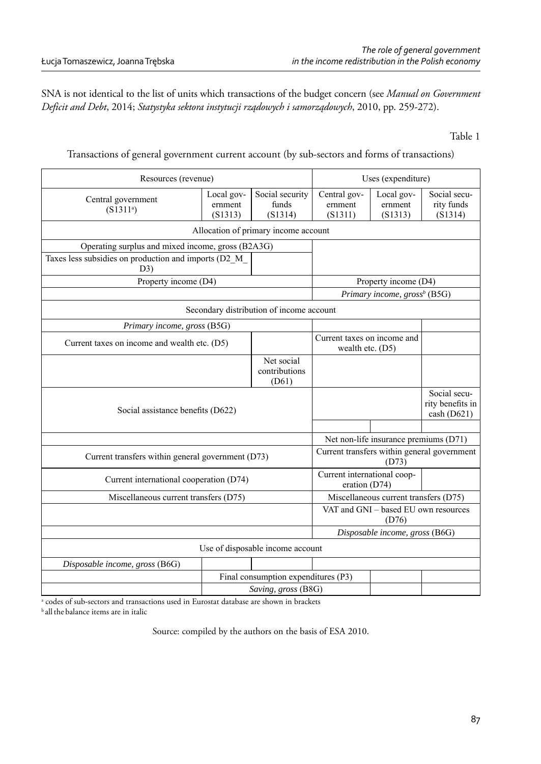SNA is not identical to the list of units which transactions of the budget concern (see *Manual on Government Deficit and Debt*, 2014; *Statystyka sektora instytucji rządowych i samorządowych*, 2010, pp. 259-272).

#### Table 1

Transactions of general government current account (by sub-sectors and forms of transactions)

| Resources (revenue)                                          |                                              |                                          | Uses (expenditure)                                   |                                                 |                                                   |  |
|--------------------------------------------------------------|----------------------------------------------|------------------------------------------|------------------------------------------------------|-------------------------------------------------|---------------------------------------------------|--|
| Central government<br>(S1311 <sup>a</sup> )                  | Local gov-<br>ernment<br>(S1313)             | Social security<br>funds<br>(S1314)      | Central gov-<br>ernment<br>(S1311)                   | Local gov-<br>ernment<br>(S1313)                | Social secu-<br>rity funds<br>(S1314)             |  |
|                                                              | Allocation of primary income account         |                                          |                                                      |                                                 |                                                   |  |
| Operating surplus and mixed income, gross (B2A3G)            |                                              |                                          |                                                      |                                                 |                                                   |  |
| Taxes less subsidies on production and imports (D2_M_<br>D3) |                                              |                                          |                                                      |                                                 |                                                   |  |
| Property income (D4)                                         |                                              |                                          | Property income (D4)                                 |                                                 |                                                   |  |
|                                                              |                                              |                                          |                                                      | Primary income, $\text{gross}^b$ (B5G)          |                                                   |  |
|                                                              |                                              | Secondary distribution of income account |                                                      |                                                 |                                                   |  |
| Primary income, gross (B5G)                                  |                                              |                                          |                                                      |                                                 |                                                   |  |
|                                                              | Current taxes on income and wealth etc. (D5) |                                          |                                                      | Current taxes on income and<br>wealth etc. (D5) |                                                   |  |
|                                                              |                                              | Net social<br>contributions<br>(D61)     |                                                      |                                                 |                                                   |  |
| Social assistance benefits (D622)                            |                                              |                                          |                                                      |                                                 | Social secu-<br>rity benefits in<br>$\cosh(D621)$ |  |
|                                                              |                                              |                                          |                                                      |                                                 |                                                   |  |
|                                                              |                                              |                                          | Net non-life insurance premiums (D71)                |                                                 |                                                   |  |
| Current transfers within general government (D73)            |                                              |                                          | Current transfers within general government<br>(D73) |                                                 |                                                   |  |
| Current international cooperation (D74)                      |                                              |                                          | Current international coop-<br>eration $(D74)$       |                                                 |                                                   |  |
| Miscellaneous current transfers (D75)                        |                                              |                                          | Miscellaneous current transfers (D75)                |                                                 |                                                   |  |
|                                                              |                                              |                                          | VAT and GNI - based EU own resources<br>(D76)        |                                                 |                                                   |  |
|                                                              |                                              |                                          | Disposable income, gross (B6G)                       |                                                 |                                                   |  |
|                                                              |                                              | Use of disposable income account         |                                                      |                                                 |                                                   |  |
| Disposable income, gross (B6G)                               |                                              |                                          |                                                      |                                                 |                                                   |  |
|                                                              |                                              | Final consumption expenditures (P3)      |                                                      |                                                 |                                                   |  |
| Saving, gross (B8G)                                          |                                              |                                          |                                                      |                                                 |                                                   |  |

a codes of sub-sectors and transactions used in Eurostat database are shown in brackets

<sup>b</sup> all the balance items are in italic

Source: compiled by the authors on the basis of ESA 2010.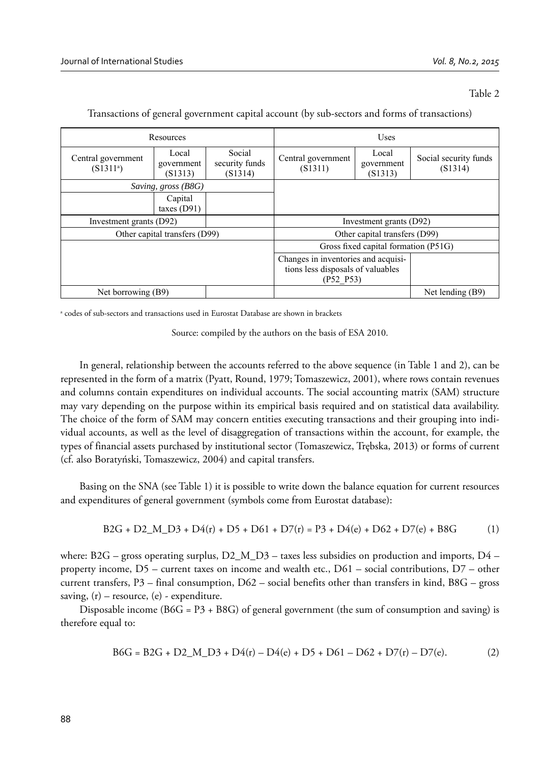#### Table 2

| Resources                                   |                                |                                      | Uses                                                                                  |  |                                  |
|---------------------------------------------|--------------------------------|--------------------------------------|---------------------------------------------------------------------------------------|--|----------------------------------|
| Central government<br>(S1311 <sup>a</sup> ) | Local<br>government<br>(S1313) | Social<br>security funds<br>(S1314)  | Local<br>Central government<br>government<br>(S1311)<br>(S1313)                       |  | Social security funds<br>(S1314) |
| Saving, gross (B8G)                         |                                |                                      |                                                                                       |  |                                  |
|                                             | Capital<br>taxes $(D91)$       |                                      |                                                                                       |  |                                  |
| Investment grants (D92)                     |                                | Investment grants (D92)              |                                                                                       |  |                                  |
| Other capital transfers (D99)               |                                | Other capital transfers (D99)        |                                                                                       |  |                                  |
|                                             |                                | Gross fixed capital formation (P51G) |                                                                                       |  |                                  |
|                                             |                                |                                      | Changes in inventories and acquisi-<br>tions less disposals of valuables<br>(P52 P53) |  |                                  |
| Net borrowing (B9)                          |                                |                                      |                                                                                       |  | Net lending (B9)                 |

Transactions of general government capital account (by sub-sectors and forms of transactions)

a codes of sub-sectors and transactions used in Eurostat Database are shown in brackets

Source: compiled by the authors on the basis of ESA 2010.

In general, relationship between the accounts referred to the above sequence (in Table 1 and 2), can be represented in the form of a matrix (Pyatt, Round, 1979; Tomaszewicz, 2001), where rows contain revenues and columns contain expenditures on individual accounts. The social accounting matrix (SAM) structure may vary depending on the purpose within its empirical basis required and on statistical data availability. The choice of the form of SAM may concern entities executing transactions and their grouping into individual accounts, as well as the level of disaggregation of transactions within the account, for example, the types of financial assets purchased by institutional sector (Tomaszewicz, Trębska, 2013) or forms of current (cf. also Boratyński, Tomaszewicz, 2004) and capital transfers.

Basing on the SNA (see Table 1) it is possible to write down the balance equation for current resources and expenditures of general government (symbols come from Eurostat database):

$$
B2G + D2\_M\_D3 + D4(r) + D5 + D61 + D7(r) = P3 + D4(e) + D62 + D7(e) + B8G
$$
 (1)

where: B2G – gross operating surplus,  $D2\_M\_D3$  – taxes less subsidies on production and imports,  $D4$ property income, D5 – current taxes on income and wealth etc., D61 – social contributions, D7 – other current transfers, P3 – final consumption, D62 – social benefits other than transfers in kind, B8G – gross saving,  $(r)$  – resource,  $(e)$  - expenditure.

Disposable income ( $B6G = P3 + B8G$ ) of general government (the sum of consumption and saving) is therefore equal to:

$$
B6G = B2G + D2_M D3 + D4(r) - D4(e) + D5 + D61 - D62 + D7(r) - D7(e).
$$
 (2)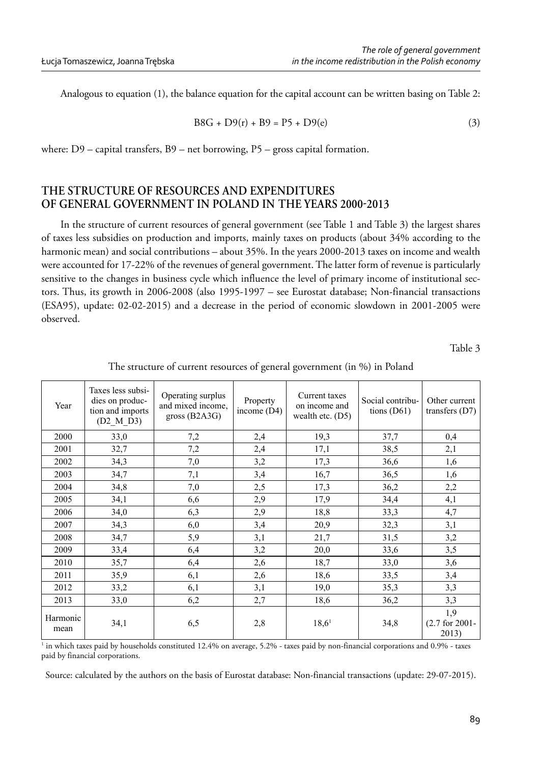Analogous to equation (1), the balance equation for the capital account can be written basing on Table 2:

$$
B8G + D9(r) + B9 = P5 + D9(e)
$$
 (3)

where: D9 – capital transfers, B9 – net borrowing, P5 – gross capital formation.

# **THE STRUCTURE OF RESOURCES AND EXPENDITURES**  OF GENERAL GOVERNMENT IN POLAND IN THE YEARS 2000-2013

In the structure of current resources of general government (see Table 1 and Table 3) the largest shares of taxes less subsidies on production and imports, mainly taxes on products (about 34% according to the harmonic mean) and social contributions – about 35%. In the years 2000-2013 taxes on income and wealth were accounted for 17-22% of the revenues of general government. The latter form of revenue is particularly sensitive to the changes in business cycle which influence the level of primary income of institutional sectors. Thus, its growth in 2006-2008 (also 1995-1997 – see Eurostat database; Non-financial transactions (ESA95), update: 02-02-2015) and a decrease in the period of economic slowdown in 2001-2005 were observed.

Table 3

| Year             | Taxes less subsi-<br>dies on produc-<br>tion and imports<br>$(D2_M_D)$ | Operating surplus<br>and mixed income.<br>gross $(B2A3G)$ | Property<br>income $(D4)$ | Current taxes<br>on income and<br>wealth etc. $(D5)$ | Social contribu-<br>tions $(D61)$ | Other current<br>transfers $(D7)$ |
|------------------|------------------------------------------------------------------------|-----------------------------------------------------------|---------------------------|------------------------------------------------------|-----------------------------------|-----------------------------------|
| 2000             | 33,0                                                                   | 7,2                                                       | 2,4                       | 19,3                                                 | 37,7                              | 0,4                               |
| 2001             | 32,7                                                                   | 7,2                                                       | 2,4                       | 17,1                                                 | 38.5                              | 2,1                               |
| 2002             | 34,3                                                                   | 7,0                                                       | 3,2                       | 17,3                                                 | 36,6                              | 1,6                               |
| 2003             | 34,7                                                                   | 7,1                                                       | 3,4                       | 16,7                                                 | 36,5                              | 1,6                               |
| 2004             | 34,8                                                                   | 7,0                                                       | 2,5                       | 17,3                                                 | 36,2                              | 2,2                               |
| 2005             | 34,1                                                                   | 6,6                                                       | 2,9                       | 17,9                                                 | 34,4                              | 4,1                               |
| 2006             | 34,0                                                                   | 6,3                                                       | 2,9                       | 18,8                                                 | 33,3                              | 4,7                               |
| 2007             | 34,3                                                                   | 6,0                                                       | 3,4                       | 20,9                                                 | 32,3                              | 3,1                               |
| 2008             | 34,7                                                                   | 5,9                                                       | 3,1                       | 21,7                                                 | 31,5                              | 3,2                               |
| 2009             | 33,4                                                                   | 6,4                                                       | 3,2                       | 20,0                                                 | 33,6                              | 3,5                               |
| 2010             | 35,7                                                                   | 6,4                                                       | 2,6                       | 18,7                                                 | 33,0                              | 3,6                               |
| 2011             | 35,9                                                                   | 6,1                                                       | 2,6                       | 18,6                                                 | 33,5                              | 3,4                               |
| 2012             | 33,2                                                                   | 6,1                                                       | 3,1                       | 19,0                                                 | 35,3                              | 3,3                               |
| 2013             | 33,0                                                                   | 6,2                                                       | 2,7                       | 18,6                                                 | 36,2                              | 3,3                               |
| Harmonic<br>mean | 34,1                                                                   | 6,5                                                       | 2,8                       | 18,6 <sup>1</sup>                                    | 34,8                              | 1,9<br>$(2.7$ for 2001-<br>2013)  |

The structure of current resources of general government (in %) in Poland

1 in which taxes paid by households constituted 12.4% on average, 5.2% - taxes paid by non-financial corporations and 0.9% - taxes paid by financial corporations.

Source: calculated by the authors on the basis of Eurostat database: Non-financial transactions (update: 29-07-2015).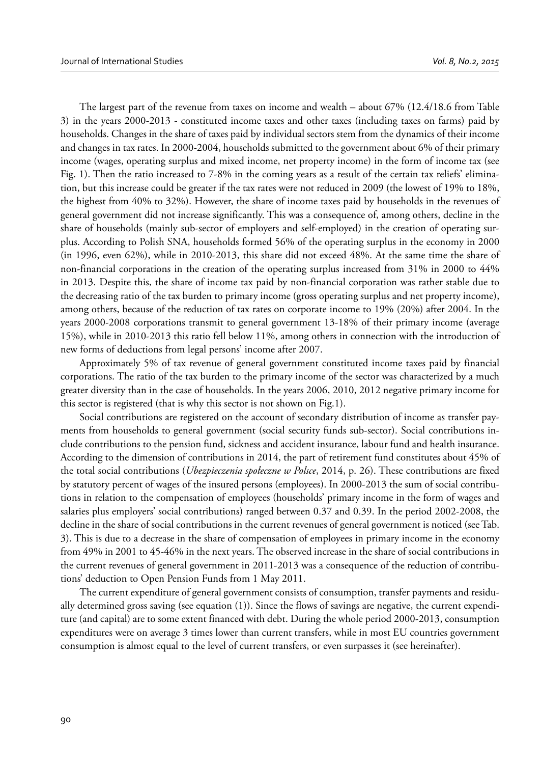The largest part of the revenue from taxes on income and wealth – about 67% (12.4/18.6 from Table 3) in the years 2000-2013 - constituted income taxes and other taxes (including taxes on farms) paid by households. Changes in the share of taxes paid by individual sectors stem from the dynamics of their income and changes in tax rates. In 2000-2004, households submitted to the government about 6% of their primary income (wages, operating surplus and mixed income, net property income) in the form of income tax (see Fig. 1). Then the ratio increased to 7-8% in the coming years as a result of the certain tax reliefs' elimination, but this increase could be greater if the tax rates were not reduced in 2009 (the lowest of 19% to 18%, the highest from 40% to 32%). However, the share of income taxes paid by households in the revenues of general government did not increase significantly. This was a consequence of, among others, decline in the share of households (mainly sub-sector of employers and self-employed) in the creation of operating surplus. According to Polish SNA, households formed 56% of the operating surplus in the economy in 2000 (in 1996, even 62%), while in 2010-2013, this share did not exceed 48%. At the same time the share of non-financial corporations in the creation of the operating surplus increased from 31% in 2000 to 44% in 2013. Despite this, the share of income tax paid by non-financial corporation was rather stable due to the decreasing ratio of the tax burden to primary income (gross operating surplus and net property income), among others, because of the reduction of tax rates on corporate income to 19% (20%) after 2004. In the years 2000-2008 corporations transmit to general government 13-18% of their primary income (average 15%), while in 2010-2013 this ratio fell below 11%, among others in connection with the introduction of new forms of deductions from legal persons' income after 2007.

Approximately 5% of tax revenue of general government constituted income taxes paid by financial corporations. The ratio of the tax burden to the primary income of the sector was characterized by a much greater diversity than in the case of households. In the years 2006, 2010, 2012 negative primary income for this sector is registered (that is why this sector is not shown on Fig.1).

Social contributions are registered on the account of secondary distribution of income as transfer payments from households to general government (social security funds sub-sector). Social contributions include contributions to the pension fund, sickness and accident insurance, labour fund and health insurance. According to the dimension of contributions in 2014, the part of retirement fund constitutes about 45% of the total social contributions (*Ubezpieczenia społeczne w Polsce*, 2014, p. 26). These contributions are fixed by statutory percent of wages of the insured persons (employees). In 2000-2013 the sum of social contributions in relation to the compensation of employees (households' primary income in the form of wages and salaries plus employers' social contributions) ranged between 0.37 and 0.39. In the period 2002-2008, the decline in the share of social contributions in the current revenues of general government is noticed (see Tab. 3). This is due to a decrease in the share of compensation of employees in primary income in the economy from 49% in 2001 to 45-46% in the next years. The observed increase in the share of social contributions in the current revenues of general government in 2011-2013 was a consequence of the reduction of contributions' deduction to Open Pension Funds from 1 May 2011.

The current expenditure of general government consists of consumption, transfer payments and residually determined gross saving (see equation (1)). Since the flows of savings are negative, the current expenditure (and capital) are to some extent financed with debt. During the whole period 2000-2013, consumption expenditures were on average 3 times lower than current transfers, while in most EU countries government consumption is almost equal to the level of current transfers, or even surpasses it (see hereinafter).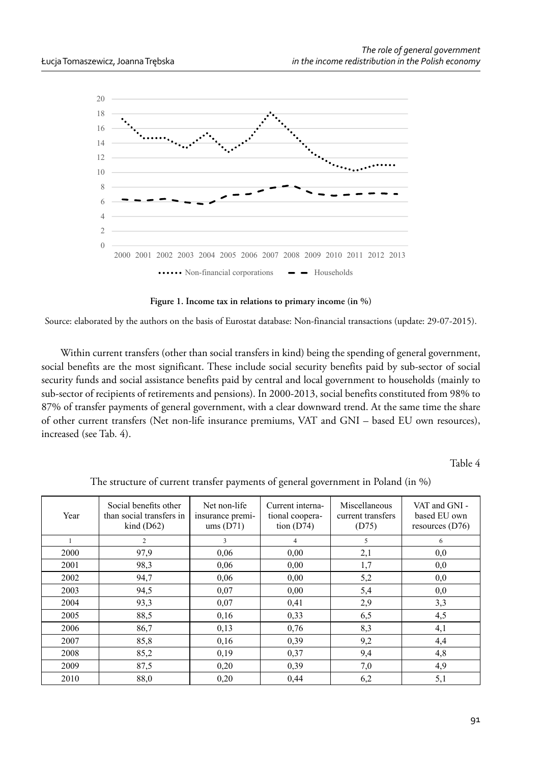

**Figure 1. Income tax in relations to primary income (in %)**

Source: elaborated by the authors on the basis of Eurostat database: Non-financial transactions (update: 29-07-2015).

Within current transfers (other than social transfers in kind) being the spending of general government, social benefits are the most significant. These include social security benefits paid by sub-sector of social security funds and social assistance benefits paid by central and local government to households (mainly to sub-sector of recipients of retirements and pensions). In 2000-2013, social benefits constituted from 98% to 87% of transfer payments of general government, with a clear downward trend. At the same time the share of other current transfers (Net non-life insurance premiums, VAT and GNI – based EU own resources), increased (see Tab. 4).

Table 4

| Year | Social benefits other<br>than social transfers in<br>$\text{kind}$ (D62) | Net non-life<br>insurance premi-<br>ums(D71) | Current interna-<br>tional coopera-<br>tion $(D74)$ | Miscellaneous<br>current transfers<br>(D75) | VAT and GNI -<br>based EU own<br>resources $(D76)$ |
|------|--------------------------------------------------------------------------|----------------------------------------------|-----------------------------------------------------|---------------------------------------------|----------------------------------------------------|
|      | 2                                                                        | 3                                            | 4                                                   | 5                                           | 6                                                  |
| 2000 | 97.9                                                                     | 0,06                                         | 0,00                                                | 2,1                                         | 0,0                                                |
| 2001 | 98.3                                                                     | 0,06                                         | 0,00                                                | 1,7                                         | 0,0                                                |
| 2002 | 94,7                                                                     | 0,06                                         | 0,00                                                | 5,2                                         | 0,0                                                |
| 2003 | 94,5                                                                     | 0.07                                         | 0,00                                                | 5,4                                         | 0,0                                                |
| 2004 | 93,3                                                                     | 0.07                                         | 0,41                                                | 2,9                                         | 3,3                                                |
| 2005 | 88,5                                                                     | 0,16                                         | 0,33                                                | 6,5                                         | 4,5                                                |
| 2006 | 86,7                                                                     | 0.13                                         | 0.76                                                | 8,3                                         | 4,1                                                |
| 2007 | 85,8                                                                     | 0,16                                         | 0.39                                                | 9,2                                         | 4,4                                                |
| 2008 | 85,2                                                                     | 0,19                                         | 0,37                                                | 9,4                                         | 4,8                                                |
| 2009 | 87,5                                                                     | 0,20                                         | 0.39                                                | 7,0                                         | 4,9                                                |
| 2010 | 88,0                                                                     | 0,20                                         | 0,44                                                | 6,2                                         | 5,1                                                |

The structure of current transfer payments of general government in Poland (in %)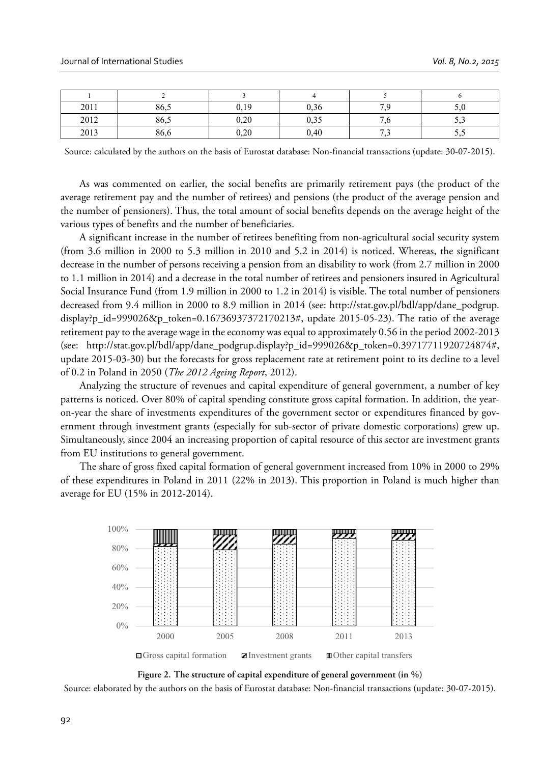| 2011 | 86,5 | 0.19 | $\sim$<br>0.36        | 70 | <u>. u</u> |
|------|------|------|-----------------------|----|------------|
| 2012 | 86,5 | 0.20 | $\sim$ $\sim$<br>∪.⊃~ |    | ر. ر       |
| 2013 | 86,6 | 0,20 | 0,40                  | -- | ັ້         |

Source: calculated by the authors on the basis of Eurostat database: Non-financial transactions (update: 30-07-2015).

As was commented on earlier, the social benefits are primarily retirement pays (the product of the average retirement pay and the number of retirees) and pensions (the product of the average pension and the number of pensioners). Thus, the total amount of social benefits depends on the average height of the various types of benefits and the number of beneficiaries.

A significant increase in the number of retirees benefiting from non-agricultural social security system (from 3.6 million in 2000 to 5.3 million in 2010 and 5.2 in 2014) is noticed. Whereas, the significant decrease in the number of persons receiving a pension from an disability to work (from 2.7 million in 2000 to 1.1 million in 2014) and a decrease in the total number of retirees and pensioners insured in Agricultural Social Insurance Fund (from 1.9 million in 2000 to 1.2 in 2014) is visible. The total number of pensioners decreased from 9.4 million in 2000 to 8.9 million in 2014 (see: http://stat.gov.pl/bdl/app/dane\_podgrup. display?p\_id=999026&p\_token=0.16736937372170213#, update 2015-05-23). The ratio of the average retirement pay to the average wage in the economy was equal to approximately 0.56 in the period 2002-2013 (see: http://stat.gov.pl/bdl/app/dane\_podgrup.display?p\_id=999026&p\_token=0.39717711920724874#, update 2015-03-30) but the forecasts for gross replacement rate at retirement point to its decline to a level of 0.2 in Poland in 2050 (*The 2012 Ageing Report*, 2012).

Analyzing the structure of revenues and capital expenditure of general government, a number of key patterns is noticed. Over 80% of capital spending constitute gross capital formation. In addition, the yearon-year the share of investments expenditures of the government sector or expenditures financed by government through investment grants (especially for sub-sector of private domestic corporations) grew up. Simultaneously, since 2004 an increasing proportion of capital resource of this sector are investment grants from EU institutions to general government.

The share of gross fixed capital formation of general government increased from 10% in 2000 to 29% of these expenditures in Poland in 2011 (22% in 2013). This proportion in Poland is much higher than average for EU (15% in 2012-2014).



**Figure 2. The structure of capital expenditure of general government (in %)**

Source: elaborated by the authors on the basis of Eurostat database: Non-financial transactions (update: 30-07-2015).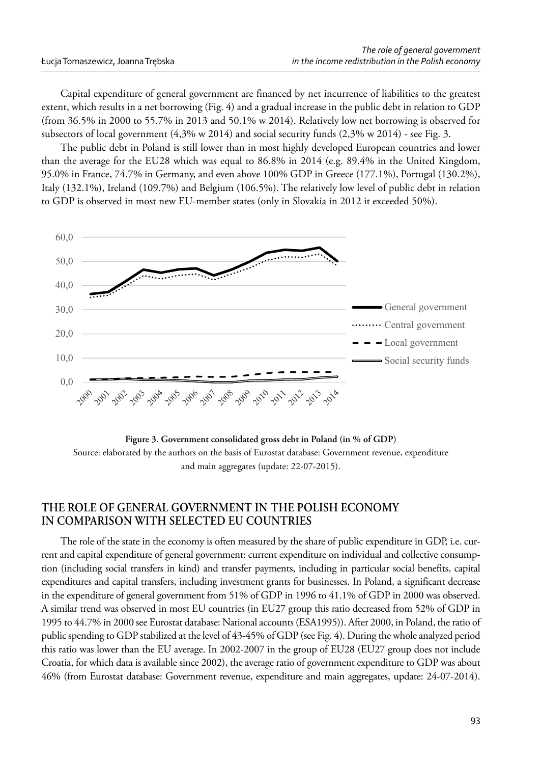Capital expenditure of general government are financed by net incurrence of liabilities to the greatest extent, which results in a net borrowing (Fig. 4) and a gradual increase in the public debt in relation to GDP (from 36.5% in 2000 to 55.7% in 2013 and 50.1% w 2014). Relatively low net borrowing is observed for subsectors of local government (4,3% w 2014) and social security funds (2,3% w 2014) - see Fig. 3.

The public debt in Poland is still lower than in most highly developed European countries and lower than the average for the EU28 which was equal to 86.8% in 2014 (e.g. 89.4% in the United Kingdom, 95.0% in France, 74.7% in Germany, and even above 100% GDP in Greece (177.1%), Portugal (130.2%), Italy (132.1%), Ireland (109.7%) and Belgium (106.5%). The relatively low level of public debt in relation to GDP is observed in most new EU-member states (only in Slovakia in 2012 it exceeded 50%).



**Figure 3. Government consolidated gross debt in Poland (in % of GDP)** Source: elaborated by the authors on the basis of Eurostat database: Government revenue, expenditure and main aggregates (update: 22-07-2015).

# **THE ROLE OF GENERAL GOVERNMENT IN THE POLISH ECONOMY IN COMPARISON WITH SELECTED EU COUNTRIES**

The role of the state in the economy is often measured by the share of public expenditure in GDP, i.e. current and capital expenditure of general government: current expenditure on individual and collective consumption (including social transfers in kind) and transfer payments, including in particular social benefits, capital expenditures and capital transfers, including investment grants for businesses. In Poland, a significant decrease in the expenditure of general government from 51% of GDP in 1996 to 41.1% of GDP in 2000 was observed. A similar trend was observed in most EU countries (in EU27 group this ratio decreased from 52% of GDP in 1995 to 44.7% in 2000 see Eurostat database: National accounts (ESA1995)). After 2000, in Poland, the ratio of public spending to GDP stabilized at the level of 43-45% of GDP (see Fig. 4). During the whole analyzed period this ratio was lower than the EU average. In 2002-2007 in the group of EU28 (EU27 group does not include Croatia, for which data is available since 2002), the average ratio of government expenditure to GDP was about 46% (from Eurostat database: Government revenue, expenditure and main aggregates, update: 24-07-2014).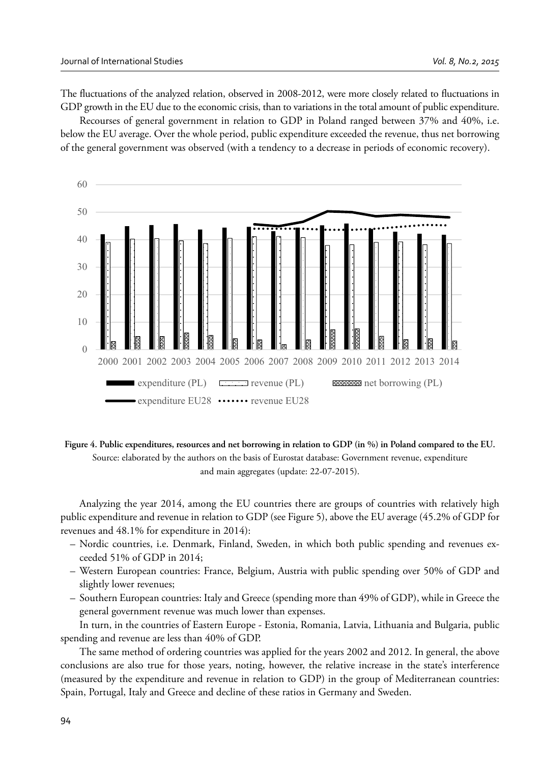The fluctuations of the analyzed relation, observed in 2008-2012, were more closely related to fluctuations in GDP growth in the EU due to the economic crisis, than to variations in the total amount of public expenditure.

Recourses of general government in relation to GDP in Poland ranged between 37% and 40%, i.e. below the EU average. Over the whole period, public expenditure exceeded the revenue, thus net borrowing of the general government was observed (with a tendency to a decrease in periods of economic recovery).



**Figure 4. Public expenditures, resources and net borrowing in relation to GDP (in %) in Poland compared to the EU.** Source: elaborated by the authors on the basis of Eurostat database: Government revenue, expenditure and main aggregates (update: 22-07-2015).

Analyzing the year 2014, among the EU countries there are groups of countries with relatively high public expenditure and revenue in relation to GDP (see Figure 5), above the EU average (45.2% of GDP for revenues and 48.1% for expenditure in 2014):

- Nordic countries, i.e. Denmark, Finland, Sweden, in which both public spending and revenues exceeded 51% of GDP in 2014;
- Western European countries: France, Belgium, Austria with public spending over 50% of GDP and slightly lower revenues;
- Southern European countries: Italy and Greece (spending more than 49% of GDP), while in Greece the general government revenue was much lower than expenses.

In turn, in the countries of Eastern Europe - Estonia, Romania, Latvia, Lithuania and Bulgaria, public spending and revenue are less than 40% of GDP.

The same method of ordering countries was applied for the years 2002 and 2012. In general, the above conclusions are also true for those years, noting, however, the relative increase in the state's interference (measured by the expenditure and revenue in relation to GDP) in the group of Mediterranean countries: Spain, Portugal, Italy and Greece and decline of these ratios in Germany and Sweden.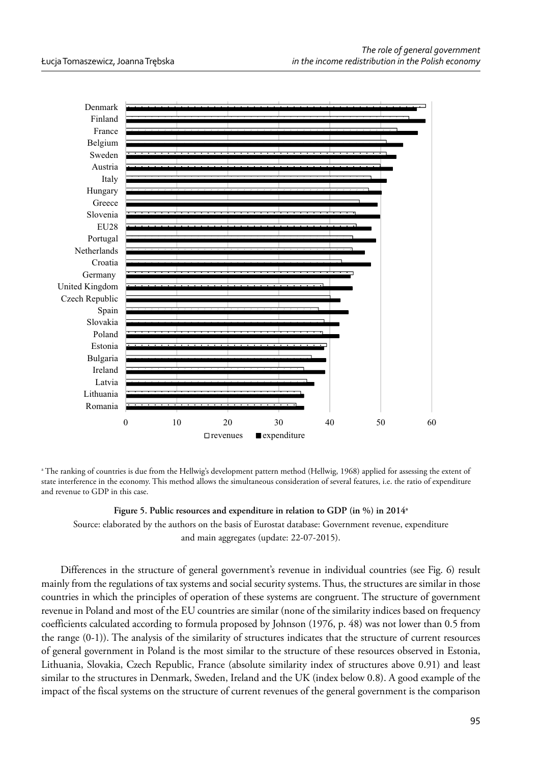

a The ranking of countries is due from the Hellwig's development pattern method (Hellwig, 1968) applied for assessing the extent of state interference in the economy. This method allows the simultaneous consideration of several features, i.e. the ratio of expenditure and revenue to GDP in this case.

**Figure 5. Public resources and expenditure in relation to GDP (in %) in 2014a** Source: elaborated by the authors on the basis of Eurostat database: Government revenue, expenditure and main aggregates (update: 22-07-2015).

Differences in the structure of general government's revenue in individual countries (see Fig. 6) result mainly from the regulations of tax systems and social security systems. Thus, the structures are similar in those countries in which the principles of operation of these systems are congruent. The structure of government revenue in Poland and most of the EU countries are similar (none of the similarity indices based on frequency coefficients calculated according to formula proposed by Johnson (1976, p. 48) was not lower than 0.5 from the range (0-1)). The analysis of the similarity of structures indicates that the structure of current resources of general government in Poland is the most similar to the structure of these resources observed in Estonia, Lithuania, Slovakia, Czech Republic, France (absolute similarity index of structures above 0.91) and least similar to the structures in Denmark, Sweden, Ireland and the UK (index below 0.8). A good example of the impact of the fiscal systems on the structure of current revenues of the general government is the comparison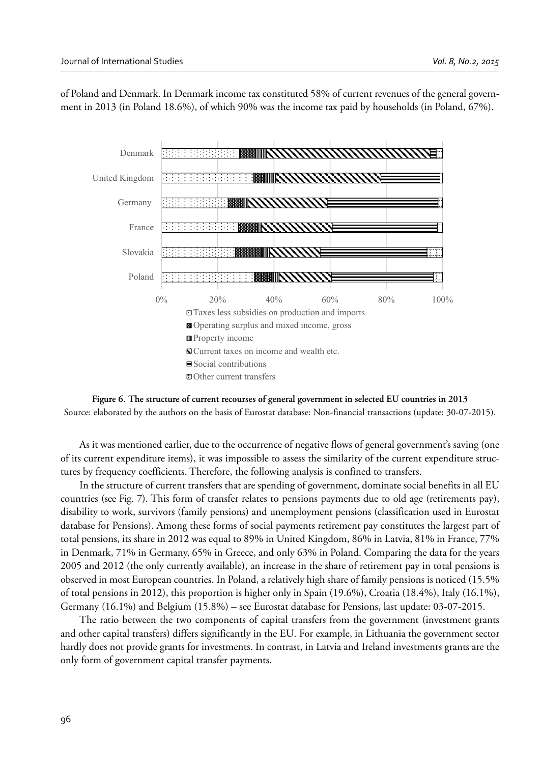of Poland and Denmark. In Denmark income tax constituted 58% of current revenues of the general government in 2013 (in Poland 18.6%), of which 90% was the income tax paid by households (in Poland, 67%).



**Figure 6. The structure of current recourses of general government in selected EU countries in 2013** Source: elaborated by the authors on the basis of Eurostat database: Non-financial transactions (update: 30-07-2015).

As it was mentioned earlier, due to the occurrence of negative flows of general government's saving (one of its current expenditure items), it was impossible to assess the similarity of the current expenditure structures by frequency coefficients. Therefore, the following analysis is confined to transfers.

In the structure of current transfers that are spending of government, dominate social benefits in all EU countries (see Fig. 7). This form of transfer relates to pensions payments due to old age (retirements pay), disability to work, survivors (family pensions) and unemployment pensions (classification used in Eurostat database for Pensions). Among these forms of social payments retirement pay constitutes the largest part of total pensions, its share in 2012 was equal to 89% in United Kingdom, 86% in Latvia, 81% in France, 77% in Denmark, 71% in Germany, 65% in Greece, and only 63% in Poland. Comparing the data for the years 2005 and 2012 (the only currently available), an increase in the share of retirement pay in total pensions is observed in most European countries. In Poland, a relatively high share of family pensions is noticed (15.5% of total pensions in 2012), this proportion is higher only in Spain (19.6%), Croatia (18.4%), Italy (16.1%), Germany (16.1%) and Belgium (15.8%) – see Eurostat database for Pensions, last update: 03-07-2015.

The ratio between the two components of capital transfers from the government (investment grants and other capital transfers) differs significantly in the EU. For example, in Lithuania the government sector hardly does not provide grants for investments. In contrast, in Latvia and Ireland investments grants are the only form of government capital transfer payments.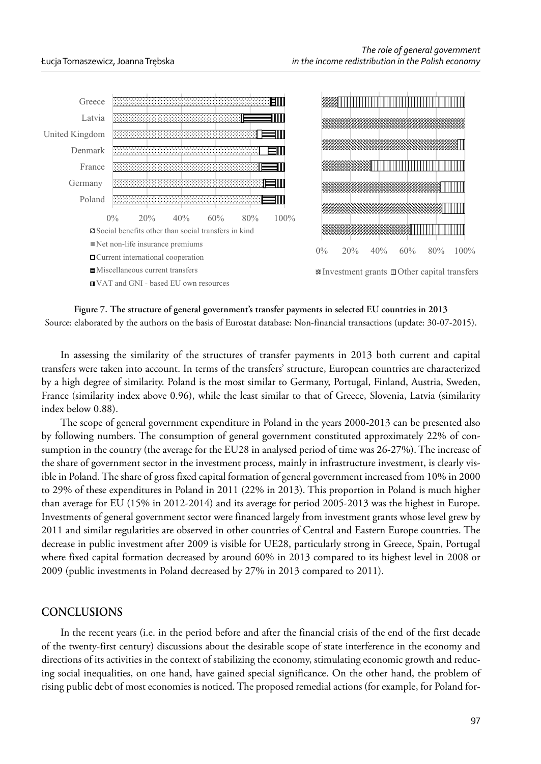



Source: elaborated by the authors on the basis of Eurostat database: Non-financial transactions (update: 30-07-2015).

In assessing the similarity of the structures of transfer payments in 2013 both current and capital transfers were taken into account. In terms of the transfers' structure, European countries are characterized by a high degree of similarity. Poland is the most similar to Germany, Portugal, Finland, Austria, Sweden, France (similarity index above 0.96), while the least similar to that of Greece, Slovenia, Latvia (similarity index below 0.88).

The scope of general government expenditure in Poland in the years 2000-2013 can be presented also by following numbers. The consumption of general government constituted approximately 22% of consumption in the country (the average for the EU28 in analysed period of time was 26-27%). The increase of the share of government sector in the investment process, mainly in infrastructure investment, is clearly visible in Poland. The share of gross fixed capital formation of general government increased from 10% in 2000 to 29% of these expenditures in Poland in 2011 (22% in 2013). This proportion in Poland is much higher than average for EU (15% in 2012-2014) and its average for period 2005-2013 was the highest in Europe. Investments of general government sector were financed largely from investment grants whose level grew by 2011 and similar regularities are observed in other countries of Central and Eastern Europe countries. The decrease in public investment after 2009 is visible for UE28, particularly strong in Greece, Spain, Portugal where fixed capital formation decreased by around 60% in 2013 compared to its highest level in 2008 or 2009 (public investments in Poland decreased by 27% in 2013 compared to 2011).

# **CONCLUSIONS**

In the recent years (i.e. in the period before and after the financial crisis of the end of the first decade of the twenty-first century) discussions about the desirable scope of state interference in the economy and directions of its activities in the context of stabilizing the economy, stimulating economic growth and reducing social inequalities, on one hand, have gained special significance. On the other hand, the problem of rising public debt of most economies is noticed. The proposed remedial actions (for example, for Poland for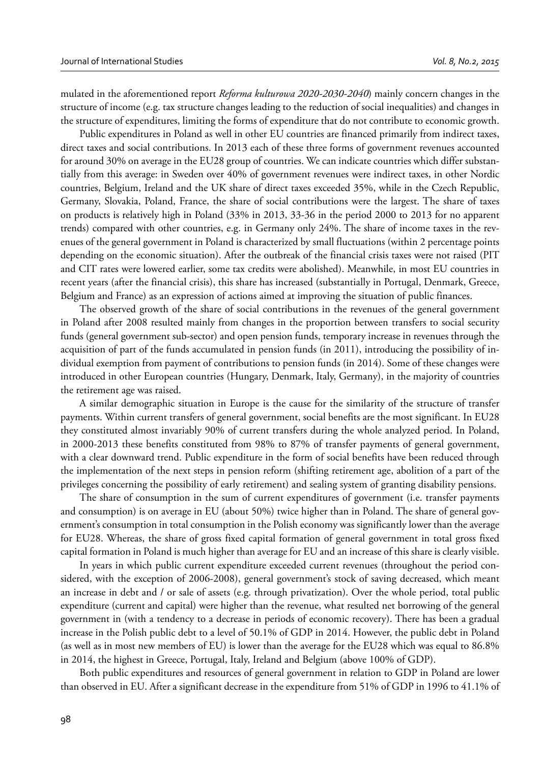mulated in the aforementioned report *Reforma kulturowa 2020-2030-2040*) mainly concern changes in the structure of income (e.g. tax structure changes leading to the reduction of social inequalities) and changes in the structure of expenditures, limiting the forms of expenditure that do not contribute to economic growth.

Public expenditures in Poland as well in other EU countries are financed primarily from indirect taxes, direct taxes and social contributions. In 2013 each of these three forms of government revenues accounted for around 30% on average in the EU28 group of countries. We can indicate countries which differ substantially from this average: in Sweden over 40% of government revenues were indirect taxes, in other Nordic countries, Belgium, Ireland and the UK share of direct taxes exceeded 35%, while in the Czech Republic, Germany, Slovakia, Poland, France, the share of social contributions were the largest. The share of taxes on products is relatively high in Poland (33% in 2013, 33-36 in the period 2000 to 2013 for no apparent trends) compared with other countries, e.g. in Germany only 24%. The share of income taxes in the revenues of the general government in Poland is characterized by small fluctuations (within 2 percentage points depending on the economic situation). After the outbreak of the financial crisis taxes were not raised (PIT and CIT rates were lowered earlier, some tax credits were abolished). Meanwhile, in most EU countries in recent years (after the financial crisis), this share has increased (substantially in Portugal, Denmark, Greece, Belgium and France) as an expression of actions aimed at improving the situation of public finances.

The observed growth of the share of social contributions in the revenues of the general government in Poland after 2008 resulted mainly from changes in the proportion between transfers to social security funds (general government sub-sector) and open pension funds, temporary increase in revenues through the acquisition of part of the funds accumulated in pension funds (in 2011), introducing the possibility of individual exemption from payment of contributions to pension funds (in 2014). Some of these changes were introduced in other European countries (Hungary, Denmark, Italy, Germany), in the majority of countries the retirement age was raised.

A similar demographic situation in Europe is the cause for the similarity of the structure of transfer payments. Within current transfers of general government, social benefits are the most significant. In EU28 they constituted almost invariably 90% of current transfers during the whole analyzed period. In Poland, in 2000-2013 these benefits constituted from 98% to 87% of transfer payments of general government, with a clear downward trend. Public expenditure in the form of social benefits have been reduced through the implementation of the next steps in pension reform (shifting retirement age, abolition of a part of the privileges concerning the possibility of early retirement) and sealing system of granting disability pensions.

The share of consumption in the sum of current expenditures of government (i.e. transfer payments and consumption) is on average in EU (about 50%) twice higher than in Poland. The share of general government's consumption in total consumption in the Polish economy was significantly lower than the average for EU28. Whereas, the share of gross fixed capital formation of general government in total gross fixed capital formation in Poland is much higher than average for EU and an increase of this share is clearly visible.

In years in which public current expenditure exceeded current revenues (throughout the period considered, with the exception of 2006-2008), general government's stock of saving decreased, which meant an increase in debt and / or sale of assets (e.g. through privatization). Over the whole period, total public expenditure (current and capital) were higher than the revenue, what resulted net borrowing of the general government in (with a tendency to a decrease in periods of economic recovery). There has been a gradual increase in the Polish public debt to a level of 50.1% of GDP in 2014. However, the public debt in Poland (as well as in most new members of EU) is lower than the average for the EU28 which was equal to 86.8% in 2014, the highest in Greece, Portugal, Italy, Ireland and Belgium (above 100% of GDP).

Both public expenditures and resources of general government in relation to GDP in Poland are lower than observed in EU. After a significant decrease in the expenditure from 51% of GDP in 1996 to 41.1% of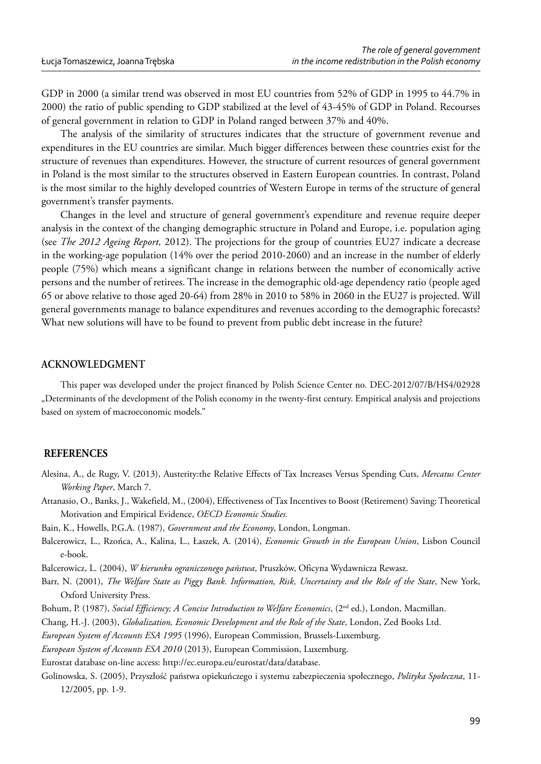GDP in 2000 (a similar trend was observed in most EU countries from 52% of GDP in 1995 to 44.7% in 2000) the ratio of public spending to GDP stabilized at the level of 43-45% of GDP in Poland. Recourses of general government in relation to GDP in Poland ranged between 37% and 40%.

The analysis of the similarity of structures indicates that the structure of government revenue and expenditures in the EU countries are similar. Much bigger differences between these countries exist for the structure of revenues than expenditures. However, the structure of current resources of general government in Poland is the most similar to the structures observed in Eastern European countries. In contrast, Poland is the most similar to the highly developed countries of Western Europe in terms of the structure of general government's transfer payments.

Changes in the level and structure of general government's expenditure and revenue require deeper analysis in the context of the changing demographic structure in Poland and Europe, i.e. population aging (see *The 2012 Ageing Report,* 2012). The projections for the group of countries EU27 indicate a decrease in the working-age population (14% over the period 2010-2060) and an increase in the number of elderly people (75%) which means a significant change in relations between the number of economically active persons and the number of retirees. The increase in the demographic old-age dependency ratio (people aged 65 or above relative to those aged 20-64) from 28% in 2010 to 58% in 2060 in the EU27 is projected. Will general governments manage to balance expenditures and revenues according to the demographic forecasts? What new solutions will have to be found to prevent from public debt increase in the future?

#### **ACKNOWLEDGMENT**

This paper was developed under the project financed by Polish Science Center no. DEC-2012/07/B/HS4/02928 "Determinants of the development of the Polish economy in the twenty-first century. Empirical analysis and projections based on system of macroeconomic models."

#### **REFERENCES**

- Alesina, A., de Rugy, V. (2013), Austerity:the Relative Effects of Tax Increases Versus Spending Cuts, *Mercatus Center Working Paper*, March 7.
- Attanasio, O., Banks, J., Wakefield, M., (2004), Effectiveness of Tax Incentives to Boost (Retirement) Saving: Theoretical Motivation and Empirical Evidence, *OECD Economic Studies.*

Bain, K., Howells, P.G.A. (1987), *Government and the Economy*, London, Longman.

Balcerowicz, L., Rzońca, A., Kalina, L., Łaszek, A. (2014), *Economic Growth in the European Union*, Lisbon Council e-book.

Balcerowicz, L. (2004), *W kierunku ograniczonego państwa*, Pruszków, Oficyna Wydawnicza Rewasz.

Barr, N. (2001), *The Welfare State as Piggy Bank. Information, Risk, Uncertainty and the Role of the State*, New York, Oxford University Press.

Bohum, P. (1987), *Social Efficiency; A Concise Introduction to Welfare Economics*, (2<sup>nd</sup> ed.), London, Macmillan.

Chang, H.-J. (2003), *Globalization, Economic Development and the Role of the State*, London, Zed Books Ltd.

*European System of Accounts ESA 1995* (1996), European Commission, Brussels-Luxemburg.

*European System of Accounts ESA 2010* (2013), European Commission, Luxemburg.

Eurostat database on-line access: http://ec.europa.eu/eurostat/data/database.

Golinowska, S. (2005), Przyszłość państwa opiekuńczego i systemu zabezpieczenia społecznego, *Polityka Społeczna*, 11- 12/2005, pp. 1-9.